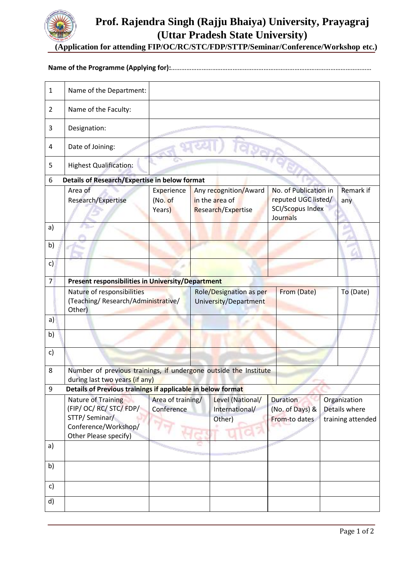

# **Prof. Rajendra Singh (Rajju Bhaiya) University, Prayagraj (Uttar Pradesh State University)**

**(Application for attending FIP/OC/RC/STC/FDP/STTP/Seminar/Conference/Workshop etc.)**

## **Name of the Programme (Applying for):**………………………………………………………………………………………………………

| $\mathbf{1}$                                              | Name of the Department:                                                                            |                                 |  |                                                                 |                                                                                     |  |                   |  |  |  |
|-----------------------------------------------------------|----------------------------------------------------------------------------------------------------|---------------------------------|--|-----------------------------------------------------------------|-------------------------------------------------------------------------------------|--|-------------------|--|--|--|
| $\overline{2}$                                            | Name of the Faculty:                                                                               |                                 |  |                                                                 |                                                                                     |  |                   |  |  |  |
| 3                                                         | Designation:                                                                                       |                                 |  |                                                                 |                                                                                     |  |                   |  |  |  |
| 4                                                         | Date of Joining:                                                                                   |                                 |  |                                                                 |                                                                                     |  |                   |  |  |  |
| 5                                                         | <b>Highest Qualification:</b>                                                                      |                                 |  |                                                                 |                                                                                     |  |                   |  |  |  |
| <b>Details of Research/Expertise in below format</b><br>6 |                                                                                                    |                                 |  |                                                                 |                                                                                     |  |                   |  |  |  |
|                                                           | Area of<br>Research/Expertise                                                                      | Experience<br>(No. of<br>Years) |  | Any recognition/Award<br>in the area of<br>Research/Expertise   | No. of Publication in<br>reputed UGC listed/<br><b>SCI/Scopus Index</b><br>Journals |  | Remark if<br>any  |  |  |  |
| a)                                                        |                                                                                                    |                                 |  |                                                                 |                                                                                     |  |                   |  |  |  |
| b)                                                        |                                                                                                    |                                 |  |                                                                 |                                                                                     |  |                   |  |  |  |
| c)                                                        |                                                                                                    |                                 |  |                                                                 |                                                                                     |  |                   |  |  |  |
| $\overline{7}$                                            | Present responsibilities in University/Department                                                  |                                 |  |                                                                 |                                                                                     |  |                   |  |  |  |
|                                                           | Nature of responsibilities<br>(Teaching/ Research/Administrative/<br>Other)                        |                                 |  | From (Date)<br>Role/Designation as per<br>University/Department |                                                                                     |  | To (Date)         |  |  |  |
| a)                                                        |                                                                                                    |                                 |  |                                                                 |                                                                                     |  |                   |  |  |  |
| b)                                                        |                                                                                                    |                                 |  |                                                                 |                                                                                     |  |                   |  |  |  |
| c)                                                        |                                                                                                    |                                 |  |                                                                 |                                                                                     |  |                   |  |  |  |
| 8                                                         | Number of previous trainings, if undergone outside the Institute<br>during last two years (if any) |                                 |  |                                                                 |                                                                                     |  |                   |  |  |  |
| 9                                                         | Details of Previous trainings if applicable in below format                                        |                                 |  |                                                                 |                                                                                     |  |                   |  |  |  |
|                                                           | <b>Nature of Training</b>                                                                          | Area of training/               |  | Level (National/                                                | <b>Duration</b>                                                                     |  | Organization      |  |  |  |
|                                                           | (FIP/OC/RC/STC/FDP/                                                                                | Conference                      |  | International/                                                  | (No. of Days) &                                                                     |  | Details where     |  |  |  |
|                                                           | STTP/Seminar/                                                                                      |                                 |  | Other)                                                          | From-to dates                                                                       |  | training attended |  |  |  |
|                                                           | Conference/Workshop/                                                                               |                                 |  |                                                                 |                                                                                     |  |                   |  |  |  |
|                                                           | Other Please specify)                                                                              |                                 |  |                                                                 |                                                                                     |  |                   |  |  |  |
| a)                                                        |                                                                                                    |                                 |  |                                                                 |                                                                                     |  |                   |  |  |  |
| b)                                                        |                                                                                                    |                                 |  |                                                                 |                                                                                     |  |                   |  |  |  |
| c)                                                        |                                                                                                    |                                 |  |                                                                 |                                                                                     |  |                   |  |  |  |
| d)                                                        |                                                                                                    |                                 |  |                                                                 |                                                                                     |  |                   |  |  |  |